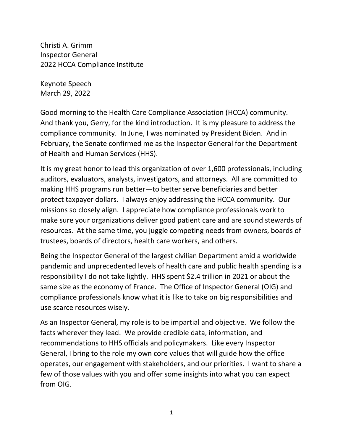Christi A. Grimm Inspector General 2022 HCCA Compliance Institute

Keynote Speech March 29, 2022

Good morning to the Health Care Compliance Association (HCCA) community. And thank you, Gerry, for the kind introduction. It is my pleasure to address the compliance community. In June, I was nominated by President Biden. And in February, the Senate confirmed me as the Inspector General for the Department of Health and Human Services (HHS).

It is my great honor to lead this organization of over 1,600 professionals, including auditors, evaluators, analysts, investigators, and attorneys. All are committed to making HHS programs run better—to better serve beneficiaries and better protect taxpayer dollars. I always enjoy addressing the HCCA community. Our missions so closely align. I appreciate how compliance professionals work to make sure your organizations deliver good patient care and are sound stewards of resources. At the same time, you juggle competing needs from owners, boards of trustees, boards of directors, health care workers, and others.

Being the Inspector General of the largest civilian Department amid a worldwide pandemic and unprecedented levels of health care and public health spending is a responsibility I do not take lightly. HHS spent \$2.4 trillion in 2021 or about the same size as the economy of France. The Office of Inspector General (OIG) and compliance professionals know what it is like to take on big responsibilities and use scarce resources wisely.

As an Inspector General, my role is to be impartial and objective. We follow the facts wherever they lead. We provide credible data, information, and recommendations to HHS officials and policymakers. Like every Inspector General, I bring to the role my own core values that will guide how the office operates, our engagement with stakeholders, and our priorities. I want to share a few of those values with you and offer some insights into what you can expect from OIG.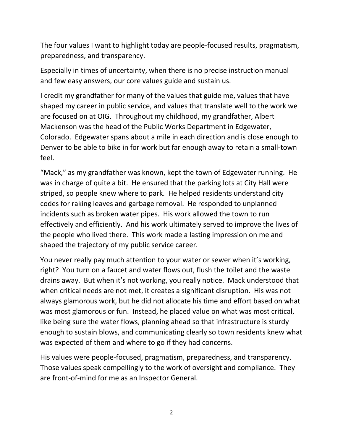The four values I want to highlight today are people-focused results, pragmatism, preparedness, and transparency.

Especially in times of uncertainty, when there is no precise instruction manual and few easy answers, our core values guide and sustain us.

I credit my grandfather for many of the values that guide me, values that have shaped my career in public service, and values that translate well to the work we are focused on at OIG. Throughout my childhood, my grandfather, Albert Mackenson was the head of the Public Works Department in Edgewater, Colorado. Edgewater spans about a mile in each direction and is close enough to Denver to be able to bike in for work but far enough away to retain a small-town feel.

"Mack," as my grandfather was known, kept the town of Edgewater running. He was in charge of quite a bit. He ensured that the parking lots at City Hall were striped, so people knew where to park. He helped residents understand city codes for raking leaves and garbage removal. He responded to unplanned incidents such as broken water pipes. His work allowed the town to run effectively and efficiently. And his work ultimately served to improve the lives of the people who lived there. This work made a lasting impression on me and shaped the trajectory of my public service career.

You never really pay much attention to your water or sewer when it's working, right? You turn on a faucet and water flows out, flush the toilet and the waste drains away. But when it's not working, you really notice. Mack understood that when critical needs are not met, it creates a significant disruption. His was not always glamorous work, but he did not allocate his time and effort based on what was most glamorous or fun. Instead, he placed value on what was most critical, like being sure the water flows, planning ahead so that infrastructure is sturdy enough to sustain blows, and communicating clearly so town residents knew what was expected of them and where to go if they had concerns.

His values were people-focused, pragmatism, preparedness, and transparency. Those values speak compellingly to the work of oversight and compliance. They are front-of-mind for me as an Inspector General.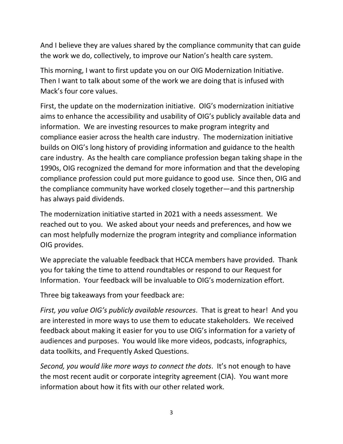And I believe they are values shared by the compliance community that can guide the work we do, collectively, to improve our Nation's health care system.

This morning, I want to first update you on our OIG Modernization Initiative. Then I want to talk about some of the work we are doing that is infused with Mack's four core values.

First, the update on the modernization initiative. OIG's modernization initiative aims to enhance the accessibility and usability of OIG's publicly available data and information. We are investing resources to make program integrity and compliance easier across the health care industry. The modernization initiative builds on OIG's long history of providing information and guidance to the health care industry. As the health care compliance profession began taking shape in the 1990s, OIG recognized the demand for more information and that the developing compliance profession could put more guidance to good use. Since then, OIG and the compliance community have worked closely together—and this partnership has always paid dividends.

The modernization initiative started in 2021 with a needs assessment. We reached out to you. We asked about your needs and preferences, and how we can most helpfully modernize the program integrity and compliance information OIG provides.

We appreciate the valuable feedback that HCCA members have provided. Thank you for taking the time to attend roundtables or respond to our Request for Information. Your feedback will be invaluable to OIG's modernization effort.

Three big takeaways from your feedback are:

*First, you value OIG's publicly available resources*. That is great to hear! And you are interested in more ways to use them to educate stakeholders. We received feedback about making it easier for you to use OIG's information for a variety of audiences and purposes. You would like more videos, podcasts, infographics, data toolkits, and Frequently Asked Questions.

*Second, you would like more ways to connect the dots*. It's not enough to have the most recent audit or corporate integrity agreement (CIA). You want more information about how it fits with our other related work.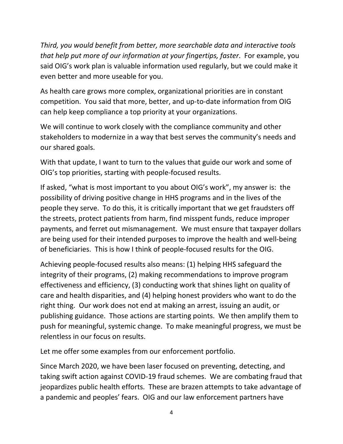*Third, you would benefit from better, more searchable data and interactive tools that help put more of our information at your fingertips, faster*. For example, you said OIG's work plan is valuable information used regularly, but we could make it even better and more useable for you.

As health care grows more complex, organizational priorities are in constant competition. You said that more, better, and up-to-date information from OIG can help keep compliance a top priority at your organizations.

We will continue to work closely with the compliance community and other stakeholders to modernize in a way that best serves the community's needs and our shared goals.

With that update, I want to turn to the values that guide our work and some of OIG's top priorities, starting with people-focused results.

If asked, "what is most important to you about OIG's work", my answer is: the possibility of driving positive change in HHS programs and in the lives of the people they serve. To do this, it is critically important that we get fraudsters off the streets, protect patients from harm, find misspent funds, reduce improper payments, and ferret out mismanagement. We must ensure that taxpayer dollars are being used for their intended purposes to improve the health and well-being of beneficiaries. This is how I think of people-focused results for the OIG.

Achieving people-focused results also means: (1) helping HHS safeguard the integrity of their programs, (2) making recommendations to improve program effectiveness and efficiency, (3) conducting work that shines light on quality of care and health disparities, and (4) helping honest providers who want to do the right thing. Our work does not end at making an arrest, issuing an audit, or publishing guidance. Those actions are starting points. We then amplify them to push for meaningful, systemic change. To make meaningful progress, we must be relentless in our focus on results.

Let me offer some examples from our enforcement portfolio.

Since March 2020, we have been laser focused on preventing, detecting, and taking swift action against COVID-19 fraud schemes. We are combating fraud that jeopardizes public health efforts. These are brazen attempts to take advantage of a pandemic and peoples' fears. OIG and our law enforcement partners have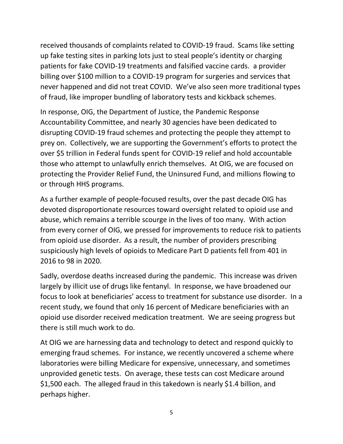received thousands of complaints related to COVID-19 fraud. Scams like setting up fake testing sites in parking lots just to steal people's identity or charging patients for fake COVID-19 treatments and falsified vaccine cards. a provider billing over \$100 million to a COVID-19 program for surgeries and services that never happened and did not treat COVID. We've also seen more traditional types of fraud, like improper bundling of laboratory tests and kickback schemes.

In response, OIG, the Department of Justice, the Pandemic Response Accountability Committee, and nearly 30 agencies have been dedicated to disrupting COVID-19 fraud schemes and protecting the people they attempt to prey on. Collectively, we are supporting the Government's efforts to protect the over \$5 trillion in Federal funds spent for COVID-19 relief and hold accountable those who attempt to unlawfully enrich themselves. At OIG, we are focused on protecting the Provider Relief Fund, the Uninsured Fund, and millions flowing to or through HHS programs.

As a further example of people-focused results, over the past decade OIG has devoted disproportionate resources toward oversight related to opioid use and abuse, which remains a terrible scourge in the lives of too many. With action from every corner of OIG, we pressed for improvements to reduce risk to patients from opioid use disorder. As a result, the number of providers prescribing suspiciously high levels of opioids to Medicare Part D patients fell from 401 in 2016 to 98 in 2020.

Sadly, overdose deaths increased during the pandemic. This increase was driven largely by illicit use of drugs like fentanyl. In response, we have broadened our focus to look at beneficiaries' access to treatment for substance use disorder. In a recent study, we found that only 16 percent of Medicare beneficiaries with an opioid use disorder received medication treatment. We are seeing progress but there is still much work to do.

At OIG we are harnessing data and technology to detect and respond quickly to emerging fraud schemes. For instance, we recently uncovered a scheme where laboratories were billing Medicare for expensive, unnecessary, and sometimes unprovided genetic tests. On average, these tests can cost Medicare around \$1,500 each. The alleged fraud in this takedown is nearly \$1.4 billion, and perhaps higher.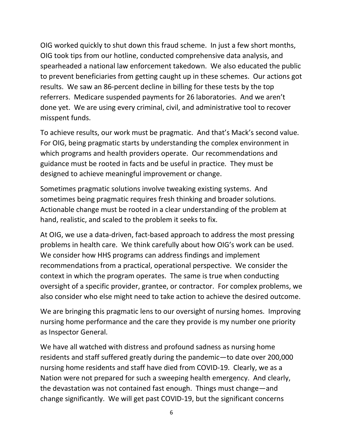OIG worked quickly to shut down this fraud scheme. In just a few short months, OIG took tips from our hotline, conducted comprehensive data analysis, and spearheaded a national law enforcement takedown. We also educated the public to prevent beneficiaries from getting caught up in these schemes. Our actions got results. We saw an 86-percent decline in billing for these tests by the top referrers. Medicare suspended payments for 26 laboratories. And we aren't done yet. We are using every criminal, civil, and administrative tool to recover misspent funds.

To achieve results, our work must be pragmatic. And that's Mack's second value. For OIG, being pragmatic starts by understanding the complex environment in which programs and health providers operate. Our recommendations and guidance must be rooted in facts and be useful in practice. They must be designed to achieve meaningful improvement or change.

Sometimes pragmatic solutions involve tweaking existing systems. And sometimes being pragmatic requires fresh thinking and broader solutions. Actionable change must be rooted in a clear understanding of the problem at hand, realistic, and scaled to the problem it seeks to fix.

At OIG, we use a data-driven, fact-based approach to address the most pressing problems in health care. We think carefully about how OIG's work can be used. We consider how HHS programs can address findings and implement recommendations from a practical, operational perspective. We consider the context in which the program operates. The same is true when conducting oversight of a specific provider, grantee, or contractor. For complex problems, we also consider who else might need to take action to achieve the desired outcome.

We are bringing this pragmatic lens to our oversight of nursing homes. Improving nursing home performance and the care they provide is my number one priority as Inspector General.

We have all watched with distress and profound sadness as nursing home residents and staff suffered greatly during the pandemic—to date over 200,000 nursing home residents and staff have died from COVID-19. Clearly, we as a Nation were not prepared for such a sweeping health emergency. And clearly, the devastation was not contained fast enough. Things must change—and change significantly. We will get past COVID-19, but the significant concerns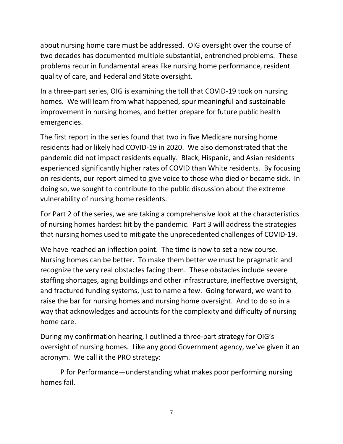about nursing home care must be addressed. OIG oversight over the course of two decades has documented multiple substantial, entrenched problems. These problems recur in fundamental areas like nursing home performance, resident quality of care, and Federal and State oversight.

In a three-part series, OIG is examining the toll that COVID-19 took on nursing homes. We will learn from what happened, spur meaningful and sustainable improvement in nursing homes, and better prepare for future public health emergencies.

The first report in the series found that two in five Medicare nursing home residents had or likely had COVID-19 in 2020. We also demonstrated that the pandemic did not impact residents equally. Black, Hispanic, and Asian residents experienced significantly higher rates of COVID than White residents. By focusing on residents, our report aimed to give voice to those who died or became sick. In doing so, we sought to contribute to the public discussion about the extreme vulnerability of nursing home residents.

For Part 2 of the series, we are taking a comprehensive look at the characteristics of nursing homes hardest hit by the pandemic. Part 3 will address the strategies that nursing homes used to mitigate the unprecedented challenges of COVID-19.

We have reached an inflection point. The time is now to set a new course. Nursing homes can be better. To make them better we must be pragmatic and recognize the very real obstacles facing them. These obstacles include severe staffing shortages, aging buildings and other infrastructure, ineffective oversight, and fractured funding systems, just to name a few. Going forward, we want to raise the bar for nursing homes and nursing home oversight. And to do so in a way that acknowledges and accounts for the complexity and difficulty of nursing home care.

During my confirmation hearing, I outlined a three-part strategy for OIG's oversight of nursing homes. Like any good Government agency, we've given it an acronym. We call it the PRO strategy:

P for Performance—understanding what makes poor performing nursing homes fail.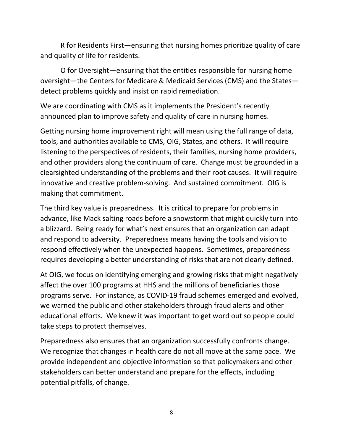R for Residents First—ensuring that nursing homes prioritize quality of care and quality of life for residents.

O for Oversight—ensuring that the entities responsible for nursing home oversight—the Centers for Medicare & Medicaid Services (CMS) and the States detect problems quickly and insist on rapid remediation.

We are coordinating with CMS as it implements the President's recently announced plan to improve safety and quality of care in nursing homes.

Getting nursing home improvement right will mean using the full range of data, tools, and authorities available to CMS, OIG, States, and others. It will require listening to the perspectives of residents, their families, nursing home providers, and other providers along the continuum of care. Change must be grounded in a clearsighted understanding of the problems and their root causes. It will require innovative and creative problem-solving. And sustained commitment. OIG is making that commitment.

The third key value is preparedness. It is critical to prepare for problems in advance, like Mack salting roads before a snowstorm that might quickly turn into a blizzard. Being ready for what's next ensures that an organization can adapt and respond to adversity. Preparedness means having the tools and vision to respond effectively when the unexpected happens. Sometimes, preparedness requires developing a better understanding of risks that are not clearly defined.

At OIG, we focus on identifying emerging and growing risks that might negatively affect the over 100 programs at HHS and the millions of beneficiaries those programs serve. For instance, as COVID-19 fraud schemes emerged and evolved, we warned the public and other stakeholders through fraud alerts and other educational efforts. We knew it was important to get word out so people could take steps to protect themselves.

Preparedness also ensures that an organization successfully confronts change. We recognize that changes in health care do not all move at the same pace. We provide independent and objective information so that policymakers and other stakeholders can better understand and prepare for the effects, including potential pitfalls, of change.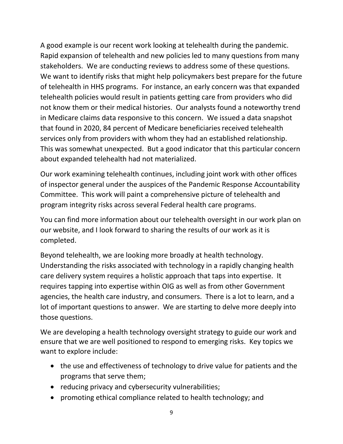A good example is our recent work looking at telehealth during the pandemic. Rapid expansion of telehealth and new policies led to many questions from many stakeholders. We are conducting reviews to address some of these questions. We want to identify risks that might help policymakers best prepare for the future of telehealth in HHS programs. For instance, an early concern was that expanded telehealth policies would result in patients getting care from providers who did not know them or their medical histories. Our analysts found a noteworthy trend in Medicare claims data responsive to this concern. We issued a data snapshot that found in 2020, 84 percent of Medicare beneficiaries received telehealth services only from providers with whom they had an established relationship. This was somewhat unexpected. But a good indicator that this particular concern about expanded telehealth had not materialized.

Our work examining telehealth continues, including joint work with other offices of inspector general under the auspices of the Pandemic Response Accountability Committee. This work will paint a comprehensive picture of telehealth and program integrity risks across several Federal health care programs.

You can find more information about our telehealth oversight in our work plan on our website, and I look forward to sharing the results of our work as it is completed.

Beyond telehealth, we are looking more broadly at health technology. Understanding the risks associated with technology in a rapidly changing health care delivery system requires a holistic approach that taps into expertise. It requires tapping into expertise within OIG as well as from other Government agencies, the health care industry, and consumers. There is a lot to learn, and a lot of important questions to answer. We are starting to delve more deeply into those questions.

We are developing a health technology oversight strategy to guide our work and ensure that we are well positioned to respond to emerging risks. Key topics we want to explore include:

- the use and effectiveness of technology to drive value for patients and the programs that serve them;
- reducing privacy and cybersecurity vulnerabilities;
- promoting ethical compliance related to health technology; and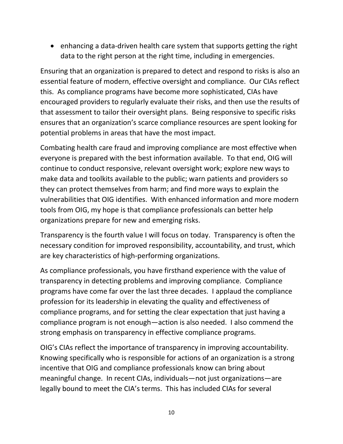• enhancing a data-driven health care system that supports getting the right data to the right person at the right time, including in emergencies.

Ensuring that an organization is prepared to detect and respond to risks is also an essential feature of modern, effective oversight and compliance. Our CIAs reflect this. As compliance programs have become more sophisticated, CIAs have encouraged providers to regularly evaluate their risks, and then use the results of that assessment to tailor their oversight plans. Being responsive to specific risks ensures that an organization's scarce compliance resources are spent looking for potential problems in areas that have the most impact.

Combating health care fraud and improving compliance are most effective when everyone is prepared with the best information available. To that end, OIG will continue to conduct responsive, relevant oversight work; explore new ways to make data and toolkits available to the public; warn patients and providers so they can protect themselves from harm; and find more ways to explain the vulnerabilities that OIG identifies. With enhanced information and more modern tools from OIG, my hope is that compliance professionals can better help organizations prepare for new and emerging risks.

Transparency is the fourth value I will focus on today. Transparency is often the necessary condition for improved responsibility, accountability, and trust, which are key characteristics of high-performing organizations.

As compliance professionals, you have firsthand experience with the value of transparency in detecting problems and improving compliance. Compliance programs have come far over the last three decades. I applaud the compliance profession for its leadership in elevating the quality and effectiveness of compliance programs, and for setting the clear expectation that just having a compliance program is not enough—action is also needed. I also commend the strong emphasis on transparency in effective compliance programs.

OIG's CIAs reflect the importance of transparency in improving accountability. Knowing specifically who is responsible for actions of an organization is a strong incentive that OIG and compliance professionals know can bring about meaningful change. In recent CIAs, individuals—not just organizations—are legally bound to meet the CIA's terms. This has included CIAs for several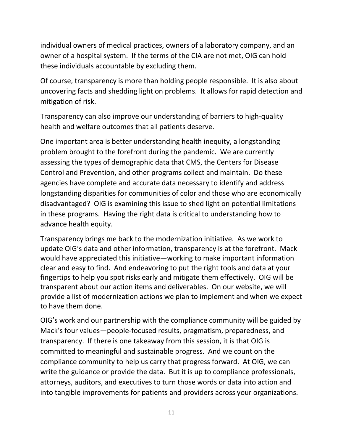individual owners of medical practices, owners of a laboratory company, and an owner of a hospital system. If the terms of the CIA are not met, OIG can hold these individuals accountable by excluding them.

Of course, transparency is more than holding people responsible. It is also about uncovering facts and shedding light on problems. It allows for rapid detection and mitigation of risk.

Transparency can also improve our understanding of barriers to high-quality health and welfare outcomes that all patients deserve.

One important area is better understanding health inequity, a longstanding problem brought to the forefront during the pandemic. We are currently assessing the types of demographic data that CMS, the Centers for Disease Control and Prevention, and other programs collect and maintain. Do these agencies have complete and accurate data necessary to identify and address longstanding disparities for communities of color and those who are economically disadvantaged? OIG is examining this issue to shed light on potential limitations in these programs. Having the right data is critical to understanding how to advance health equity.

Transparency brings me back to the modernization initiative. As we work to update OIG's data and other information, transparency is at the forefront. Mack would have appreciated this initiative—working to make important information clear and easy to find. And endeavoring to put the right tools and data at your fingertips to help you spot risks early and mitigate them effectively. OIG will be transparent about our action items and deliverables. On our website, we will provide a list of modernization actions we plan to implement and when we expect to have them done.

OIG's work and our partnership with the compliance community will be guided by Mack's four values—people-focused results, pragmatism, preparedness, and transparency. If there is one takeaway from this session, it is that OIG is committed to meaningful and sustainable progress. And we count on the compliance community to help us carry that progress forward. At OIG, we can write the guidance or provide the data. But it is up to compliance professionals, attorneys, auditors, and executives to turn those words or data into action and into tangible improvements for patients and providers across your organizations.